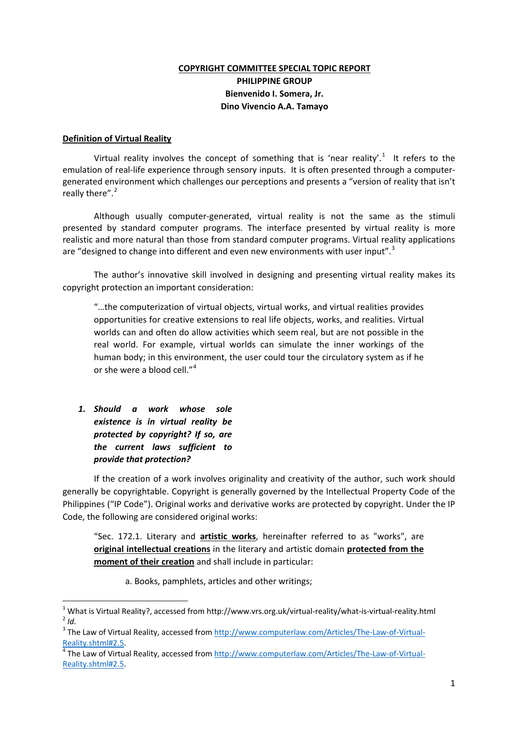## **COPYRIGHT COMMITTEE SPECIAL TOPIC REPORT PHILIPPINE GROUP Bienvenido I. Somera, Jr. Dino Vivencio A.A. Tamayo**

#### **Definition of Virtual Reality**

Virtual reality involves the concept of something that is 'near reality'.<sup>[1](#page-0-0)</sup> It refers to the emulation of real-life experience through sensory inputs. It is often presented through a computergenerated environment which challenges our perceptions and presents a "version of reality that isn't really there".<sup>[2](#page-0-1)</sup>

Although usually computer-generated, virtual reality is not the same as the stimuli presented by standard computer programs. The interface presented by virtual reality is more realistic and more natural than those from standard computer programs. Virtual reality applications are "designed to change into different and even new environments with user input".<sup>[3](#page-0-2)</sup>

The author's innovative skill involved in designing and presenting virtual reality makes its copyright protection an important consideration:

"…the computerization of virtual objects, virtual works, and virtual realities provides opportunities for creative extensions to real life objects, works, and realities. Virtual worlds can and often do allow activities which seem real, but are not possible in the real world. For example, virtual worlds can simulate the inner workings of the human body; in this environment, the user could tour the circulatory system as if he or she were a blood cell."<sup>[4](#page-0-3)</sup>

*1. Should a work whose sole existence is in virtual reality be protected by copyright? If so, are the current laws sufficient to provide that protection?*

If the creation of a work involves originality and creativity of the author, such work should generally be copyrightable. Copyright is generally governed by the Intellectual Property Code of the Philippines ("IP Code"). Original works and derivative works are protected by copyright. Under the IP Code, the following are considered original works:

"Sec. 172.1. Literary and **artistic works**, hereinafter referred to as "works", are **original intellectual creations** in the literary and artistic domain **protected from the moment of their creation** and shall include in particular:

a. Books, pamphlets, articles and other writings;

<span id="page-0-1"></span><span id="page-0-0"></span><sup>1</sup> What is Virtual Reality?, accessed from http://www.vrs.org.uk/virtual-reality/what-is-virtual-reality.html <sup>2</sup> *Id.*

<span id="page-0-2"></span><sup>&</sup>lt;sup>3</sup> The Law of Virtual Reality, accessed from [http://www.computerlaw.com/Articles/The-Law-of-Virtual-](http://www.computerlaw.com/Articles/The-Law-of-Virtual-Reality.shtml#2.5)[Reality.shtml#2.5.](http://www.computerlaw.com/Articles/The-Law-of-Virtual-Reality.shtml#2.5)<br><sup>[4](http://www.computerlaw.com/Articles/The-Law-of-Virtual-Reality.shtml#2.5)</sup> The Law of Virtual Reality, accessed from [http://www.computerlaw.com/Articles/The-Law-of-Virtual-](http://www.computerlaw.com/Articles/The-Law-of-Virtual-Reality.shtml#2.5)

<span id="page-0-3"></span>[Reality.shtml#2.5.](http://www.computerlaw.com/Articles/The-Law-of-Virtual-Reality.shtml#2.5)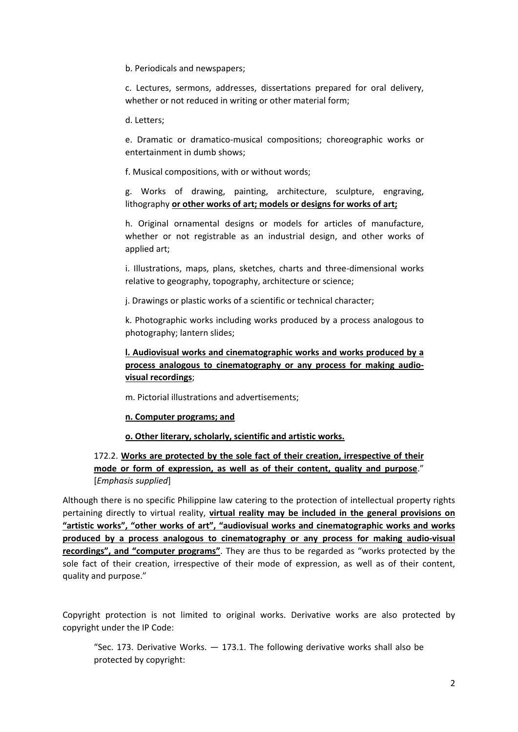b. Periodicals and newspapers;

c. Lectures, sermons, addresses, dissertations prepared for oral delivery, whether or not reduced in writing or other material form;

d. Letters;

e. Dramatic or dramatico-musical compositions; choreographic works or entertainment in dumb shows;

f. Musical compositions, with or without words;

g. Works of drawing, painting, architecture, sculpture, engraving, lithography **or other works of art; models or designs for works of art;**

h. Original ornamental designs or models for articles of manufacture, whether or not registrable as an industrial design, and other works of applied art;

i. Illustrations, maps, plans, sketches, charts and three-dimensional works relative to geography, topography, architecture or science;

j. Drawings or plastic works of a scientific or technical character;

k. Photographic works including works produced by a process analogous to photography; lantern slides;

**l. Audiovisual works and cinematographic works and works produced by a process analogous to cinematography or any process for making audiovisual recordings**;

m. Pictorial illustrations and advertisements;

### **n. Computer programs; and**

### **o. Other literary, scholarly, scientific and artistic works.**

# 172.2. **Works are protected by the sole fact of their creation, irrespective of their mode or form of expression, as well as of their content, quality and purpose**." [*Emphasis supplied*]

Although there is no specific Philippine law catering to the protection of intellectual property rights pertaining directly to virtual reality, **virtual reality may be included in the general provisions on "artistic works", "other works of art", "audiovisual works and cinematographic works and works produced by a process analogous to cinematography or any process for making audio-visual recordings", and "computer programs"**. They are thus to be regarded as "works protected by the sole fact of their creation, irrespective of their mode of expression, as well as of their content, quality and purpose."

Copyright protection is not limited to original works. Derivative works are also protected by copyright under the IP Code:

"Sec. 173. Derivative Works.  $-$  173.1. The following derivative works shall also be protected by copyright: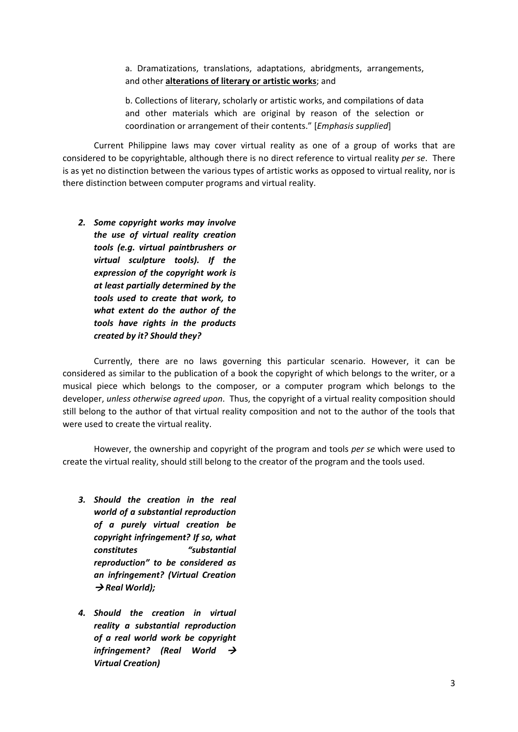a. Dramatizations, translations, adaptations, abridgments, arrangements, and other **alterations of literary or artistic works**; and

b. Collections of literary, scholarly or artistic works, and compilations of data and other materials which are original by reason of the selection or coordination or arrangement of their contents." [*Emphasis supplied*]

Current Philippine laws may cover virtual reality as one of a group of works that are considered to be copyrightable, although there is no direct reference to virtual reality *per se*. There is as yet no distinction between the various types of artistic works as opposed to virtual reality, nor is there distinction between computer programs and virtual reality.

*2. Some copyright works may involve the use of virtual reality creation tools (e.g. virtual paintbrushers or virtual sculpture tools). If the expression of the copyright work is at least partially determined by the tools used to create that work, to what extent do the author of the tools have rights in the products created by it? Should they?*

Currently, there are no laws governing this particular scenario. However, it can be considered as similar to the publication of a book the copyright of which belongs to the writer, or a musical piece which belongs to the composer, or a computer program which belongs to the developer, *unless otherwise agreed upon*. Thus, the copyright of a virtual reality composition should still belong to the author of that virtual reality composition and not to the author of the tools that were used to create the virtual reality.

However, the ownership and copyright of the program and tools *per se* which were used to create the virtual reality, should still belong to the creator of the program and the tools used.

- *3. Should the creation in the real world of a substantial reproduction of a purely virtual creation be copyright infringement? If so, what constitutes "substantial reproduction" to be considered as an infringement? (Virtual Creation*   $\rightarrow$  Real World);
- *4. Should the creation in virtual reality a substantial reproduction of a real world work be copyright infringement? (Real World Virtual Creation)*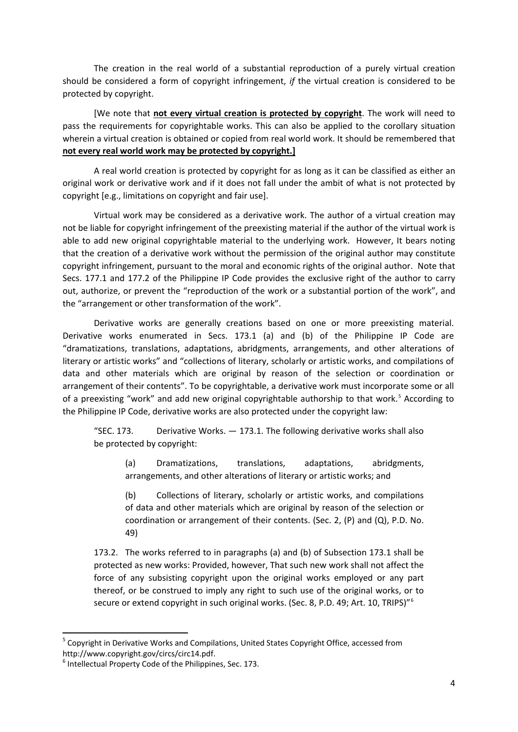The creation in the real world of a substantial reproduction of a purely virtual creation should be considered a form of copyright infringement, *if* the virtual creation is considered to be protected by copyright.

[We note that **not every virtual creation is protected by copyright**. The work will need to pass the requirements for copyrightable works. This can also be applied to the corollary situation wherein a virtual creation is obtained or copied from real world work. It should be remembered that **not every real world work may be protected by copyright.]**

A real world creation is protected by copyright for as long as it can be classified as either an original work or derivative work and if it does not fall under the ambit of what is not protected by copyright [e.g., limitations on copyright and fair use].

Virtual work may be considered as a derivative work. The author of a virtual creation may not be liable for copyright infringement of the preexisting material if the author of the virtual work is able to add new original copyrightable material to the underlying work. However, It bears noting that the creation of a derivative work without the permission of the original author may constitute copyright infringement, pursuant to the moral and economic rights of the original author. Note that Secs. 177.1 and 177.2 of the Philippine IP Code provides the exclusive right of the author to carry out, authorize, or prevent the "reproduction of the work or a substantial portion of the work", and the "arrangement or other transformation of the work".

Derivative works are generally creations based on one or more preexisting material. Derivative works enumerated in Secs. 173.1 (a) and (b) of the Philippine IP Code are "dramatizations, translations, adaptations, abridgments, arrangements, and other alterations of literary or artistic works" and "collections of literary, scholarly or artistic works, and compilations of data and other materials which are original by reason of the selection or coordination or arrangement of their contents". To be copyrightable, a derivative work must incorporate some or all of a preexisting "work" and add new original copyrightable authorship to that work.<sup>[5](#page-3-0)</sup> According to the Philippine IP Code, derivative works are also protected under the copyright law:

"SEC. 173. Derivative Works. — 173.1. The following derivative works shall also be protected by copyright:

(a) Dramatizations, translations, adaptations, abridgments, arrangements, and other alterations of literary or artistic works; and

(b) Collections of literary, scholarly or artistic works, and compilations of data and other materials which are original by reason of the selection or coordination or arrangement of their contents. (Sec. 2, (P) and (Q), P.D. No. 49)

173.2. The works referred to in paragraphs (a) and (b) of Subsection 173.1 shall be protected as new works: Provided, however, That such new work shall not affect the force of any subsisting copyright upon the original works employed or any part thereof, or be construed to imply any right to such use of the original works, or to secure or extend copyright in such original works. (Sec. 8, P.D. 49; Art. 10, TRIPS)"<sup>[6](#page-3-1)</sup>

<span id="page-3-0"></span> $5$  Copyright in Derivative Works and Compilations, United States Copyright Office, accessed from http://www.copyright.gov/circs/circ14.pdf.<br><sup>6</sup> Intellectual Property Code of the Philippines, Sec. 173.

<span id="page-3-1"></span>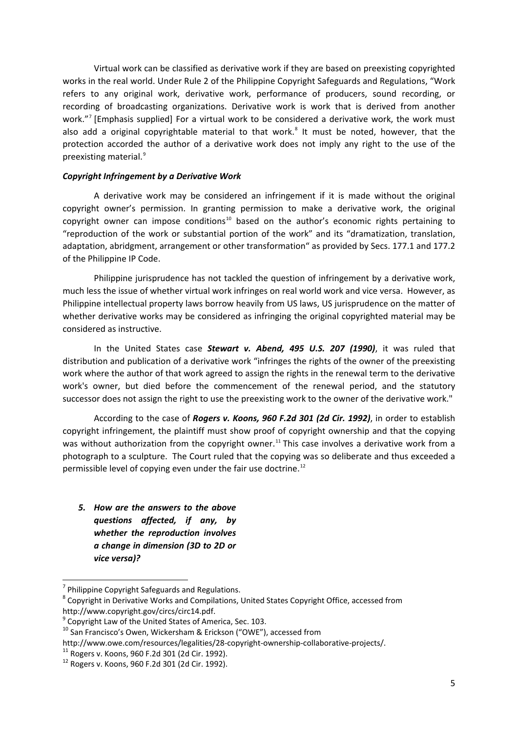Virtual work can be classified as derivative work if they are based on preexisting copyrighted works in the real world. Under Rule 2 of the Philippine Copyright Safeguards and Regulations, "Work refers to any original work, derivative work, performance of producers, sound recording, or recording of broadcasting organizations. Derivative work is work that is derived from another work."[7](#page-4-0) [Emphasis supplied] For a virtual work to be considered a derivative work, the work must also add a original copyrightable material to that work.<sup>[8](#page-4-1)</sup> It must be noted, however, that the protection accorded the author of a derivative work does not imply any right to the use of the preexisting material.<sup>[9](#page-4-2)</sup>

#### *Copyright Infringement by a Derivative Work*

A derivative work may be considered an infringement if it is made without the original copyright owner's permission. In granting permission to make a derivative work, the original copyright owner can impose conditions<sup>[10](#page-4-3)</sup> based on the author's economic rights pertaining to "reproduction of the work or substantial portion of the work" and its "dramatization, translation, adaptation, abridgment, arrangement or other transformation" as provided by Secs. 177.1 and 177.2 of the Philippine IP Code.

Philippine jurisprudence has not tackled the question of infringement by a derivative work, much less the issue of whether virtual work infringes on real world work and vice versa. However, as Philippine intellectual property laws borrow heavily from US laws, US jurisprudence on the matter of whether derivative works may be considered as infringing the original copyrighted material may be considered as instructive.

In the United States case *Stewart v. Abend, 495 U.S. 207 (1990)*, it was ruled that distribution and publication of a derivative work "infringes the rights of the owner of the preexisting work where the author of that work agreed to assign the rights in the renewal term to the derivative work's owner, but died before the commencement of the renewal period, and the statutory successor does not assign the right to use the preexisting work to the owner of the derivative work."

According to the case of *Rogers v. Koons, 960 F.2d 301 (2d Cir. 1992)*, in order to establish copyright infringement, the plaintiff must show proof of copyright ownership and that the copying was without authorization from the copyright owner.<sup>[11](#page-4-4)</sup> This case involves a derivative work from a photograph to a sculpture. The Court ruled that the copying was so deliberate and thus exceeded a permissible level of copying even under the fair use doctrine.<sup>[12](#page-4-5)</sup>

*5. How are the answers to the above questions affected, if any, by whether the reproduction involves a change in dimension (3D to 2D or vice versa)?*

<span id="page-4-1"></span><span id="page-4-0"></span><sup>&</sup>lt;sup>7</sup> Philippine Copyright Safeguards and Regulations.<br><sup>8</sup> Copyright in Derivative Works and Compilations, United States Copyright Office, accessed from http://www.copyright.gov/circs/circ14.pdf.<br><sup>9</sup> Copyright Law of the United States of America, Sec. 103.

<span id="page-4-2"></span>

<span id="page-4-3"></span> $10$  San Francisco's Owen, Wickersham & Erickson ("OWE"), accessed from

<span id="page-4-4"></span>http://www.owe.com/resources/legalities/28-copyright-ownership-collaborative-projects/.<br><sup>11</sup> Rogers v. Koons, 960 F.2d 301 (2d Cir. 1992).<br><sup>12</sup> Rogers v. Koons. 960 F.2d 301 (2d Cir. 1992).

<span id="page-4-5"></span>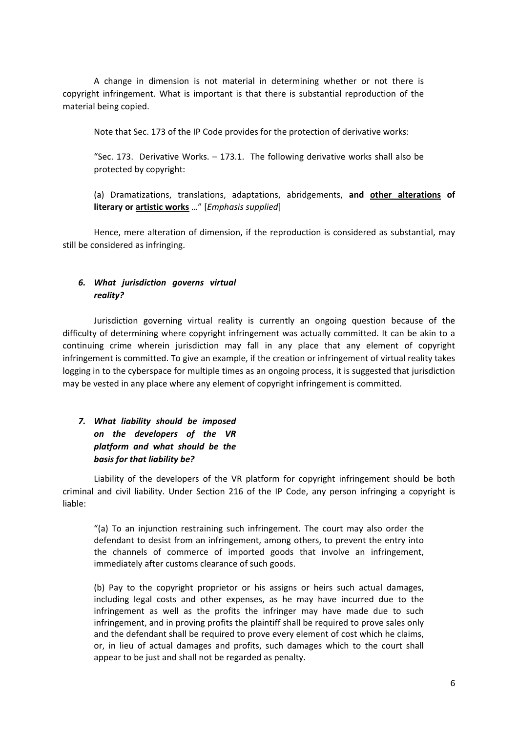A change in dimension is not material in determining whether or not there is copyright infringement. What is important is that there is substantial reproduction of the material being copied.

Note that Sec. 173 of the IP Code provides for the protection of derivative works:

"Sec. 173. Derivative Works. – 173.1. The following derivative works shall also be protected by copyright:

(a) Dramatizations, translations, adaptations, abridgements, **and other alterations of literary or artistic works** …" [*Emphasis supplied*]

Hence, mere alteration of dimension, if the reproduction is considered as substantial, may still be considered as infringing.

### *6. What jurisdiction governs virtual reality?*

Jurisdiction governing virtual reality is currently an ongoing question because of the difficulty of determining where copyright infringement was actually committed. It can be akin to a continuing crime wherein jurisdiction may fall in any place that any element of copyright infringement is committed. To give an example, if the creation or infringement of virtual reality takes logging in to the cyberspace for multiple times as an ongoing process, it is suggested that jurisdiction may be vested in any place where any element of copyright infringement is committed.

# *7. What liability should be imposed on the developers of the VR platform and what should be the basis for that liability be?*

Liability of the developers of the VR platform for copyright infringement should be both criminal and civil liability. Under Section 216 of the IP Code, any person infringing a copyright is liable:

"(a) To an injunction restraining such infringement. The court may also order the defendant to desist from an infringement, among others, to prevent the entry into the channels of commerce of imported goods that involve an infringement, immediately after customs clearance of such goods.

(b) Pay to the copyright proprietor or his assigns or heirs such actual damages, including legal costs and other expenses, as he may have incurred due to the infringement as well as the profits the infringer may have made due to such infringement, and in proving profits the plaintiff shall be required to prove sales only and the defendant shall be required to prove every element of cost which he claims, or, in lieu of actual damages and profits, such damages which to the court shall appear to be just and shall not be regarded as penalty.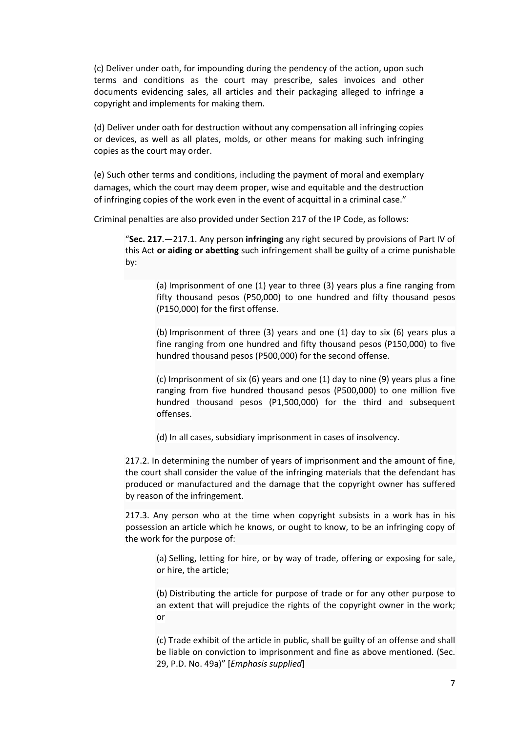(c) Deliver under oath, for impounding during the pendency of the action, upon such terms and conditions as the court may prescribe, sales invoices and other documents evidencing sales, all articles and their packaging alleged to infringe a copyright and implements for making them.

(d) Deliver under oath for destruction without any compensation all infringing copies or devices, as well as all plates, molds, or other means for making such infringing copies as the court may order.

(e) Such other terms and conditions, including the payment of moral and exemplary damages, which the court may deem proper, wise and equitable and the destruction of infringing copies of the work even in the event of acquittal in a criminal case."

Criminal penalties are also provided under Section 217 of the IP Code, as follows:

"**Sec. 217**.—217.1. Any person **infringing** any right secured by provisions of Part IV of this Act **or aiding or abetting** such infringement shall be guilty of a crime punishable by:

(a) Imprisonment of one (1) year to three (3) years plus a fine ranging from fifty thousand pesos (P50,000) to one hundred and fifty thousand pesos (P150,000) for the first offense.

(b) Imprisonment of three (3) years and one (1) day to six (6) years plus a fine ranging from one hundred and fifty thousand pesos (P150,000) to five hundred thousand pesos (P500,000) for the second offense.

(c) Imprisonment of six (6) years and one (1) day to nine (9) years plus a fine ranging from five hundred thousand pesos (P500,000) to one million five hundred thousand pesos (P1,500,000) for the third and subsequent offenses.

(d) In all cases, subsidiary imprisonment in cases of insolvency.

217.2. In determining the number of years of imprisonment and the amount of fine, the court shall consider the value of the infringing materials that the defendant has produced or manufactured and the damage that the copyright owner has suffered by reason of the infringement.

217.3. Any person who at the time when copyright subsists in a work has in his possession an article which he knows, or ought to know, to be an infringing copy of the work for the purpose of:

(a) Selling, letting for hire, or by way of trade, offering or exposing for sale, or hire, the article;

(b) Distributing the article for purpose of trade or for any other purpose to an extent that will prejudice the rights of the copyright owner in the work; or

(c) Trade exhibit of the article in public, shall be guilty of an offense and shall be liable on conviction to imprisonment and fine as above mentioned. (Sec. 29, P.D. No. 49a)" [*Emphasis supplied*]